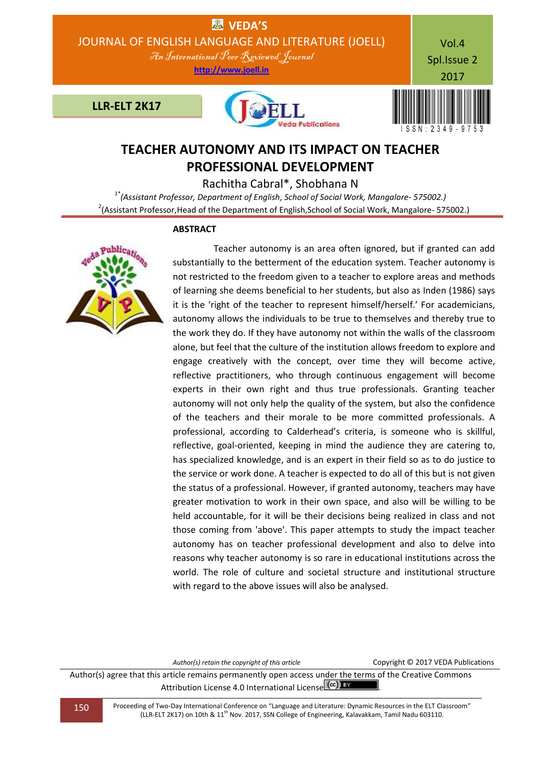

# **TEACHER AUTONOMY AND ITS IMPACT ON TEACHER PROFESSIONAL DEVELOPMENT**

Rachitha Cabral\*, Shobhana N

*1\*(Assistant Professor, Department of English, School of Social Work, Mangalore- 575002.)*  $^{2}$ (Assistant Professor, Head of the Department of English, School of Social Work, Mangalore- 575002.)

#### **ABSTRACT**



 Teacher autonomy is an area often ignored, but if granted can add substantially to the betterment of the education system. Teacher autonomy is not restricted to the freedom given to a teacher to explore areas and methods of learning she deems beneficial to her students, but also as Inden (1986) says it is the 'right of the teacher to represent himself/herself.' For academicians, autonomy allows the individuals to be true to themselves and thereby true to the work they do. If they have autonomy not within the walls of the classroom alone, but feel that the culture of the institution allows freedom to explore and engage creatively with the concept, over time they will become active, reflective practitioners, who through continuous engagement will become experts in their own right and thus true professionals. Granting teacher autonomy will not only help the quality of the system, but also the confidence of the teachers and their morale to be more committed professionals. A professional, according to Calderhead's criteria, is someone who is skillful, reflective, goal-oriented, keeping in mind the audience they are catering to, has specialized knowledge, and is an expert in their field so as to do justice to the service or work done. A teacher is expected to do all of this but is not given the status of a professional. However, if granted autonomy, teachers may have greater motivation to work in their own space, and also will be willing to be held accountable, for it will be their decisions being realized in class and not those coming from 'above'. This paper attempts to study the impact teacher autonomy has on teacher professional development and also to delve into reasons why teacher autonomy is so rare in educational institutions across the world. The role of culture and societal structure and institutional structure with regard to the above issues will also be analysed.

Author(s) retain the copyright of this article **Copyright C 2017 VEDA Publications** 

Author(s) agree that this article remains permanently open access under the terms of the Creative Commons Attribution License 4.0 International License  $\left(\text{cc}\right)$  BY

150 Proceeding of Two-Day International Conference on "Language and Literature: Dynamic Resources in the ELT Classroom" (LLR-ELT 2K17) on 10th & 11th Nov. 2017, SSN College of Engineering, Kalavakkam, Tamil Nadu 603110.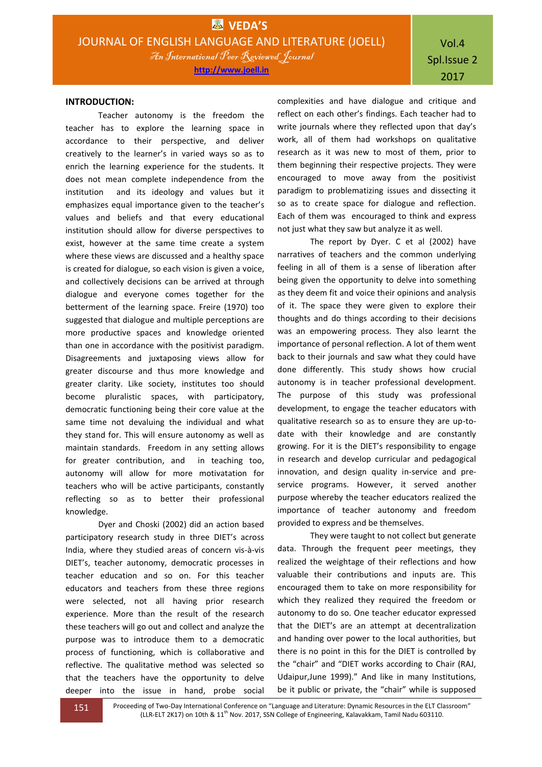#### **INTRODUCTION:**

Teacher autonomy is the freedom the teacher has to explore the learning space in accordance to their perspective, and deliver creatively to the learner's in varied ways so as to enrich the learning experience for the students. It does not mean complete independence from the institution and its ideology and values but it emphasizes equal importance given to the teacher's values and beliefs and that every educational institution should allow for diverse perspectives to exist, however at the same time create a system where these views are discussed and a healthy space is created for dialogue, so each vision is given a voice, and collectively decisions can be arrived at through dialogue and everyone comes together for the betterment of the learning space. Freire (1970) too suggested that dialogue and multiple perceptions are more productive spaces and knowledge oriented than one in accordance with the positivist paradigm. Disagreements and juxtaposing views allow for greater discourse and thus more knowledge and greater clarity. Like society, institutes too should become pluralistic spaces, with participatory, democratic functioning being their core value at the same time not devaluing the individual and what they stand for. This will ensure autonomy as well as maintain standards. Freedom in any setting allows for greater contribution, and in teaching too, autonomy will allow for more motivatation for teachers who will be active participants, constantly reflecting so as to better their professional knowledge.

Dyer and Choski (2002) did an action based participatory research study in three DIET's across India, where they studied areas of concern vis-à-vis DIET's, teacher autonomy, democratic processes in teacher education and so on. For this teacher educators and teachers from these three regions were selected, not all having prior research experience. More than the result of the research these teachers will go out and collect and analyze the purpose was to introduce them to a democratic process of functioning, which is collaborative and reflective. The qualitative method was selected so that the teachers have the opportunity to delve deeper into the issue in hand, probe social

complexities and have dialogue and critique and reflect on each other's findings. Each teacher had to write journals where they reflected upon that day's work, all of them had workshops on qualitative research as it was new to most of them, prior to them beginning their respective projects. They were encouraged to move away from the positivist paradigm to problematizing issues and dissecting it so as to create space for dialogue and reflection. Each of them was encouraged to think and express not just what they saw but analyze it as well.

The report by Dyer. C et al (2002) have narratives of teachers and the common underlying feeling in all of them is a sense of liberation after being given the opportunity to delve into something as they deem fit and voice their opinions and analysis of it. The space they were given to explore their thoughts and do things according to their decisions was an empowering process. They also learnt the importance of personal reflection. A lot of them went back to their journals and saw what they could have done differently. This study shows how crucial autonomy is in teacher professional development. The purpose of this study was professional development, to engage the teacher educators with qualitative research so as to ensure they are up-todate with their knowledge and are constantly growing. For it is the DIET's responsibility to engage in research and develop curricular and pedagogical innovation, and design quality in-service and preservice programs. However, it served another purpose whereby the teacher educators realized the importance of teacher autonomy and freedom provided to express and be themselves.

They were taught to not collect but generate data. Through the frequent peer meetings, they realized the weightage of their reflections and how valuable their contributions and inputs are. This encouraged them to take on more responsibility for which they realized they required the freedom or autonomy to do so. One teacher educator expressed that the DIET's are an attempt at decentralization and handing over power to the local authorities, but there is no point in this for the DIET is controlled by the "chair" and "DIET works according to Chair (RAJ, Udaipur,June 1999)." And like in many Institutions, be it public or private, the "chair" while is supposed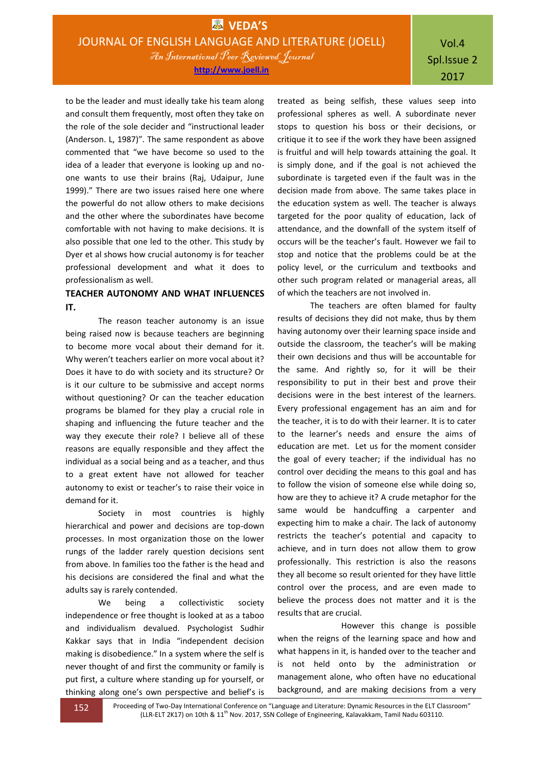## Vol.4 Spl.Issue 2 2017

to be the leader and must ideally take his team along and consult them frequently, most often they take on the role of the sole decider and "instructional leader (Anderson. L, 1987)". The same respondent as above commented that "we have become so used to the idea of a leader that everyone is looking up and noone wants to use their brains (Raj, Udaipur, June 1999)." There are two issues raised here one where the powerful do not allow others to make decisions and the other where the subordinates have become comfortable with not having to make decisions. It is also possible that one led to the other. This study by Dyer et al shows how crucial autonomy is for teacher professional development and what it does to professionalism as well.

## **TEACHER AUTONOMY AND WHAT INFLUENCES IT.**

The reason teacher autonomy is an issue being raised now is because teachers are beginning to become more vocal about their demand for it. Why weren't teachers earlier on more vocal about it? Does it have to do with society and its structure? Or is it our culture to be submissive and accept norms without questioning? Or can the teacher education programs be blamed for they play a crucial role in shaping and influencing the future teacher and the way they execute their role? I believe all of these reasons are equally responsible and they affect the individual as a social being and as a teacher, and thus to a great extent have not allowed for teacher autonomy to exist or teacher's to raise their voice in demand for it.

Society in most countries is highly hierarchical and power and decisions are top-down processes. In most organization those on the lower rungs of the ladder rarely question decisions sent from above. In families too the father is the head and his decisions are considered the final and what the adults say is rarely contended.

We being a collectivistic society independence or free thought is looked at as a taboo and individualism devalued. Psychologist Sudhir Kakkar says that in India "independent decision making is disobedience." In a system where the self is never thought of and first the community or family is put first, a culture where standing up for yourself, or thinking along one's own perspective and belief's is

treated as being selfish, these values seep into professional spheres as well. A subordinate never stops to question his boss or their decisions, or critique it to see if the work they have been assigned is fruitful and will help towards attaining the goal. It is simply done, and if the goal is not achieved the subordinate is targeted even if the fault was in the decision made from above. The same takes place in the education system as well. The teacher is always targeted for the poor quality of education, lack of attendance, and the downfall of the system itself of occurs will be the teacher's fault. However we fail to stop and notice that the problems could be at the policy level, or the curriculum and textbooks and other such program related or managerial areas, all of which the teachers are not involved in.

The teachers are often blamed for faulty results of decisions they did not make, thus by them having autonomy over their learning space inside and outside the classroom, the teacher's will be making their own decisions and thus will be accountable for the same. And rightly so, for it will be their responsibility to put in their best and prove their decisions were in the best interest of the learners. Every professional engagement has an aim and for the teacher, it is to do with their learner. It is to cater to the learner's needs and ensure the aims of education are met. Let us for the moment consider the goal of every teacher; if the individual has no control over deciding the means to this goal and has to follow the vision of someone else while doing so, how are they to achieve it? A crude metaphor for the same would be handcuffing a carpenter and expecting him to make a chair. The lack of autonomy restricts the teacher's potential and capacity to achieve, and in turn does not allow them to grow professionally. This restriction is also the reasons they all become so result oriented for they have little control over the process, and are even made to believe the process does not matter and it is the results that are crucial.

 However this change is possible when the reigns of the learning space and how and what happens in it, is handed over to the teacher and is not held onto by the administration or management alone, who often have no educational background, and are making decisions from a very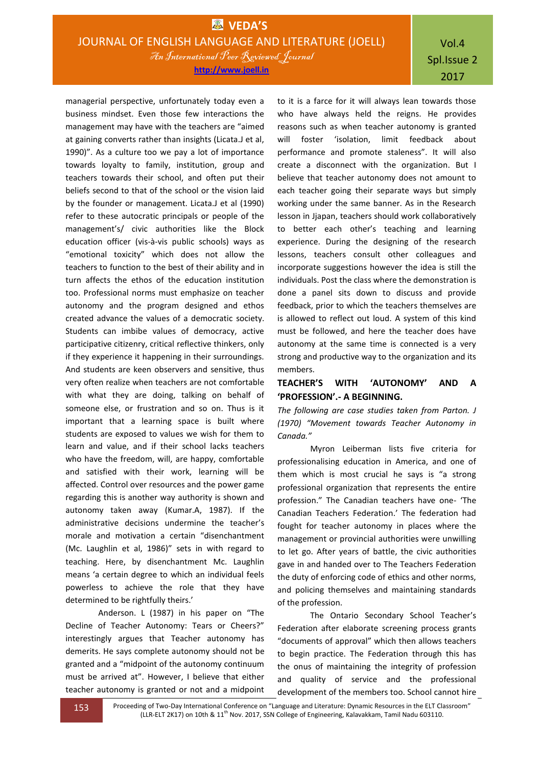Vol.4 Spl.Issue 2 2017

managerial perspective, unfortunately today even a business mindset. Even those few interactions the management may have with the teachers are "aimed at gaining converts rather than insights (Licata.J et al, 1990)". As a culture too we pay a lot of importance towards loyalty to family, institution, group and teachers towards their school, and often put their beliefs second to that of the school or the vision laid by the founder or management. Licata.J et al (1990) refer to these autocratic principals or people of the management's/ civic authorities like the Block education officer (vis-à-vis public schools) ways as "emotional toxicity" which does not allow the teachers to function to the best of their ability and in turn affects the ethos of the education institution too. Professional norms must emphasize on teacher autonomy and the program designed and ethos created advance the values of a democratic society. Students can imbibe values of democracy, active participative citizenry, critical reflective thinkers, only if they experience it happening in their surroundings. And students are keen observers and sensitive, thus very often realize when teachers are not comfortable with what they are doing, talking on behalf of someone else, or frustration and so on. Thus is it important that a learning space is built where students are exposed to values we wish for them to learn and value, and if their school lacks teachers who have the freedom, will, are happy, comfortable and satisfied with their work, learning will be affected. Control over resources and the power game regarding this is another way authority is shown and autonomy taken away (Kumar.A, 1987). If the administrative decisions undermine the teacher's morale and motivation a certain "disenchantment (Mc. Laughlin et al, 1986)" sets in with regard to teaching. Here, by disenchantment Mc. Laughlin means 'a certain degree to which an individual feels powerless to achieve the role that they have determined to be rightfully theirs.'

Anderson. L (1987) in his paper on "The Decline of Teacher Autonomy: Tears or Cheers?" interestingly argues that Teacher autonomy has demerits. He says complete autonomy should not be granted and a "midpoint of the autonomy continuum must be arrived at". However, I believe that either teacher autonomy is granted or not and a midpoint

to it is a farce for it will always lean towards those who have always held the reigns. He provides reasons such as when teacher autonomy is granted will foster 'isolation, limit feedback about performance and promote staleness". It will also create a disconnect with the organization. But I believe that teacher autonomy does not amount to each teacher going their separate ways but simply working under the same banner. As in the Research lesson in Jjapan, teachers should work collaboratively to better each other's teaching and learning experience. During the designing of the research lessons, teachers consult other colleagues and incorporate suggestions however the idea is still the individuals. Post the class where the demonstration is done a panel sits down to discuss and provide feedback, prior to which the teachers themselves are is allowed to reflect out loud. A system of this kind must be followed, and here the teacher does have autonomy at the same time is connected is a very strong and productive way to the organization and its members.

### **TEACHER'S WITH 'AUTONOMY' AND A 'PROFESSION'.- A BEGINNING.**

*The following are case studies taken from Parton. J (1970) "Movement towards Teacher Autonomy in Canada."*

Myron Leiberman lists five criteria for professionalising education in America, and one of them which is most crucial he says is "a strong professional organization that represents the entire profession." The Canadian teachers have one- 'The Canadian Teachers Federation.' The federation had fought for teacher autonomy in places where the management or provincial authorities were unwilling to let go. After years of battle, the civic authorities gave in and handed over to The Teachers Federation the duty of enforcing code of ethics and other norms, and policing themselves and maintaining standards of the profession.

The Ontario Secondary School Teacher's Federation after elaborate screening process grants "documents of approval" which then allows teachers to begin practice. The Federation through this has the onus of maintaining the integrity of profession and quality of service and the professional development of the members too. School cannot hire

153 Proceeding of Two-Day International Conference on "Language and Literature: Dynamic Resources in the ELT Classroom" (LLR-ELT 2K17) on 10th & 11<sup>th</sup> Nov. 2017, SSN College of Engineering, Kalavakkam, Tamil Nadu 603110.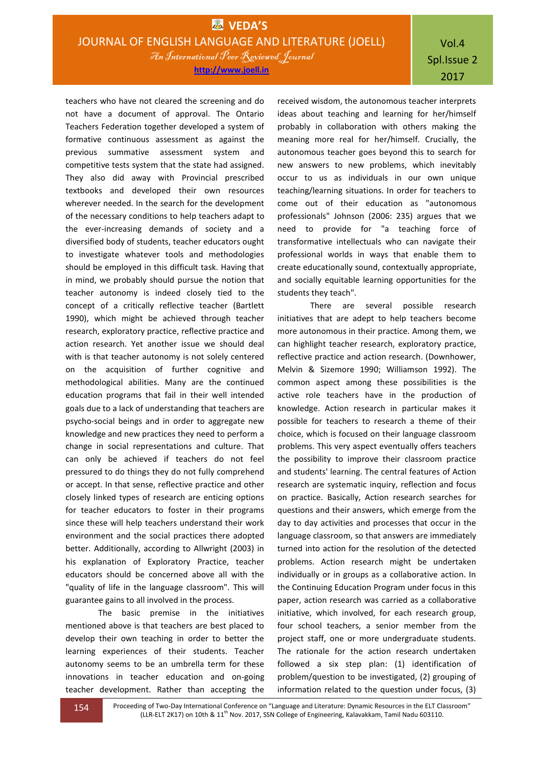**http://www.joell.in**

Vol.4 Spl.Issue 2 2017

teachers who have not cleared the screening and do not have a document of approval. The Ontario Teachers Federation together developed a system of formative continuous assessment as against the previous summative assessment system and competitive tests system that the state had assigned. They also did away with Provincial prescribed textbooks and developed their own resources wherever needed. In the search for the development of the necessary conditions to help teachers adapt to the ever-increasing demands of society and a diversified body of students, teacher educators ought to investigate whatever tools and methodologies should be employed in this difficult task. Having that in mind, we probably should pursue the notion that teacher autonomy is indeed closely tied to the concept of a critically reflective teacher (Bartlett 1990), which might be achieved through teacher research, exploratory practice, reflective practice and action research. Yet another issue we should deal with is that teacher autonomy is not solely centered on the acquisition of further cognitive and methodological abilities. Many are the continued education programs that fail in their well intended goals due to a lack of understanding that teachers are psycho-social beings and in order to aggregate new knowledge and new practices they need to perform a change in social representations and culture. That can only be achieved if teachers do not feel pressured to do things they do not fully comprehend or accept. In that sense, reflective practice and other closely linked types of research are enticing options for teacher educators to foster in their programs since these will help teachers understand their work environment and the social practices there adopted better. Additionally, according to Allwright (2003) in his explanation of Exploratory Practice, teacher educators should be concerned above all with the "quality of life in the language classroom". This will guarantee gains to all involved in the process.

The basic premise in the initiatives mentioned above is that teachers are best placed to develop their own teaching in order to better the learning experiences of their students. Teacher autonomy seems to be an umbrella term for these innovations in teacher education and on-going teacher development. Rather than accepting the

received wisdom, the autonomous teacher interprets ideas about teaching and learning for her/himself probably in collaboration with others making the meaning more real for her/himself. Crucially, the autonomous teacher goes beyond this to search for new answers to new problems, which inevitably occur to us as individuals in our own unique teaching/learning situations. In order for teachers to come out of their education as "autonomous professionals" Johnson (2006: 235) argues that we need to provide for "a teaching force of transformative intellectuals who can navigate their professional worlds in ways that enable them to create educationally sound, contextually appropriate, and socially equitable learning opportunities for the students they teach".

There are several possible research initiatives that are adept to help teachers become more autonomous in their practice. Among them, we can highlight teacher research, exploratory practice, reflective practice and action research. (Downhower, Melvin & Sizemore 1990; Williamson 1992). The common aspect among these possibilities is the active role teachers have in the production of knowledge. Action research in particular makes it possible for teachers to research a theme of their choice, which is focused on their language classroom problems. This very aspect eventually offers teachers the possibility to improve their classroom practice and students' learning. The central features of Action research are systematic inquiry, reflection and focus on practice. Basically, Action research searches for questions and their answers, which emerge from the day to day activities and processes that occur in the language classroom, so that answers are immediately turned into action for the resolution of the detected problems. Action research might be undertaken individually or in groups as a collaborative action. In the Continuing Education Program under focus in this paper, action research was carried as a collaborative initiative, which involved, for each research group, four school teachers, a senior member from the project staff, one or more undergraduate students. The rationale for the action research undertaken followed a six step plan: (1) identification of problem/question to be investigated, (2) grouping of information related to the question under focus, (3)

154 Proceeding of Two-Day International Conference on "Language and Literature: Dynamic Resources in the ELT Classroom" (LLR-ELT 2K17) on 10th & 11<sup>th</sup> Nov. 2017, SSN College of Engineering, Kalavakkam, Tamil Nadu 603110.